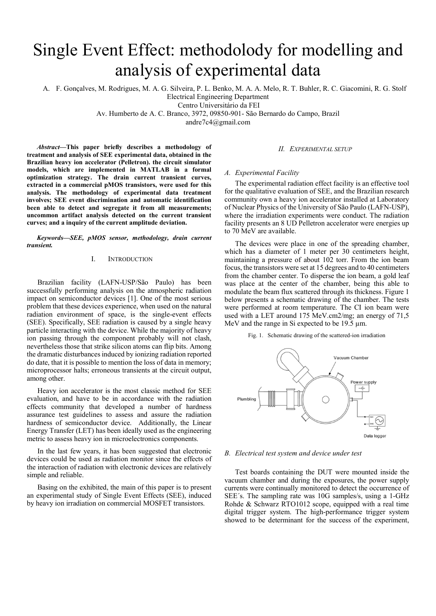# Single Event Effect: methodolody for modelling and analysis of experimental data

A. F. Gonçalves, M. Rodrigues, M. A. G. Silveira, P. L. Benko, M. A. A. Melo, R. T. Buhler, R. C. Giacomini, R. G. Stolf

Electrical Engineering Department

Centro Universitário da FEI

Av. Humberto de A. C. Branco, 3972, 09850-901- São Bernardo do Campo, Brazil

andre7c4@gmail.com

Abstract—This paper briefly describes a methodology of treatment and analysis of SEE experimental data, obtained in the Brazilian heavy ion accelerator (Pelletron). the circuit simulator models, which are implemented in MATLAB in a formal optimization strategy. The drain current transient curves, extracted in a commercial pMOS transistors, were used for this analysis. The methodology of experimental data treatment involves; SEE event discrimination and automatic identification been able to detect and segregate it from all measurements; uncommon artifact analysis detected on the current transient curves; and a inquiry of the current amplitude deviation.

Keywords—SEE, pMOS sensor, methodology, drain current transient.

### I. INTRODUCTION

Brazilian facility (LAFN-USP/São Paulo) has been successfully performing analysis on the atmospheric radiation impact on semiconductor devices [1]. One of the most serious problem that these devices experience, when used on the natural radiation environment of space, is the single-event effects (SEE). Specifically, SEE radiation is caused by a single heavy particle interacting with the device. While the majority of heavy ion passing through the component probably will not clash, nevertheless those that strike silicon atoms can flip bits. Among the dramatic disturbances induced by ionizing radiation reported do date, that it is possible to mention the loss of data in memory; microprocessor halts; erroneous transients at the circuit output, among other.

Heavy ion accelerator is the most classic method for SEE evaluation, and have to be in accordance with the radiation effects community that developed a number of hardness assurance test guidelines to assess and assure the radiation hardness of semiconductor device. Additionally, the Linear Energy Transfer (LET) has been ideally used as the engineering metric to assess heavy ion in microelectronics components.

In the last few years, it has been suggested that electronic devices could be used as radiation monitor since the effects of the interaction of radiation with electronic devices are relatively simple and reliable.

Basing on the exhibited, the main of this paper is to present an experimental study of Single Event Effects (SEE), induced by heavy ion irradiation on commercial MOSFET transistors.

### II. EXPERIMENTAL SETUP

### A. Experimental Facility

The experimental radiation effect facility is an effective tool for the qualitative evaluation of SEE, and the Brazilian research community own a heavy ion accelerator installed at Laboratory of Nuclear Physics of the University of São Paulo (LAFN-USP), where the irradiation experiments were conduct. The radiation facility presents an 8 UD Pelletron accelerator were energies up to 70 MeV are available.

The devices were place in one of the spreading chamber, which has a diameter of 1 meter per 30 centimeters height, maintaining a pressure of about 102 torr. From the ion beam focus, the transistors were set at 15 degrees and to 40 centimeters from the chamber center. To disperse the ion beam, a gold leaf was place at the center of the chamber, being this able to modulate the beam flux scattered through its thickness. Figure 1 below presents a schematic drawing of the chamber. The tests were performed at room temperature. The CI ion beam were used with a LET around 175 MeV.cm2/mg; an energy of 71,5 MeV and the range in Si expected to be 19.5  $\mu$ m.

Fig. 1. Schematic drawing of the scattered-ion irradiation



### B. Electrical test system and device under test

Test boards containing the DUT were mounted inside the vacuum chamber and during the exposures, the power supply currents were continually monitored to detect the occurrence of SEE´s. The sampling rate was 10G samples/s, using a 1-GHz Rohde & Schwarz RTO1012 scope, equipped with a real time digital trigger system. The high-performance trigger system showed to be determinant for the success of the experiment,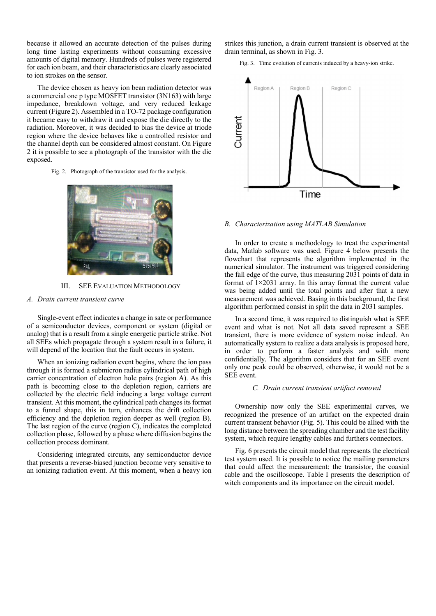because it allowed an accurate detection of the pulses during long time lasting experiments without consuming excessive amounts of digital memory. Hundreds of pulses were registered for each ion beam, and their characteristics are clearly associated to ion strokes on the sensor.

The device chosen as heavy ion bean radiation detector was a commercial one p type MOSFET transistor (3N163) with large impedance, breakdown voltage, and very reduced leakage current (Figure 2). Assembled in a TO-72 package configuration it became easy to withdraw it and expose the die directly to the radiation. Moreover, it was decided to bias the device at triode region where the device behaves like a controlled resistor and the channel depth can be considered almost constant. On Figure 2 it is possible to see a photograph of the transistor with the die exposed.

Fig. 2. Photograph of the transistor used for the analysis.



III. SEE EVALUATION METHODOLOGY

### A. Drain current transient curve

Single-event effect indicates a change in sate or performance of a semiconductor devices, component or system (digital or analog) that is a result from a single energetic particle strike. Not all SEEs which propagate through a system result in a failure, it will depend of the location that the fault occurs in system.

When an ionizing radiation event begins, where the ion pass through it is formed a submicron radius cylindrical path of high carrier concentration of electron hole pairs (region A). As this path is becoming close to the depletion region, carriers are collected by the electric field inducing a large voltage current transient. At this moment, the cylindrical path changes its format to a funnel shape, this in turn, enhances the drift collection efficiency and the depletion region deeper as well (region B). The last region of the curve (region C), indicates the completed collection phase, followed by a phase where diffusion begins the collection process dominant.

Considering integrated circuits, any semiconductor device that presents a reverse-biased junction become very sensitive to an ionizing radiation event. At this moment, when a heavy ion strikes this junction, a drain current transient is observed at the drain terminal, as shown in Fig. 3.

Fig. 3. Time evolution of currents induced by a heavy-ion strike.



#### B. Characterization using MATLAB Simulation

In order to create a methodology to treat the experimental data, Matlab software was used. Figure 4 below presents the flowchart that represents the algorithm implemented in the numerical simulator. The instrument was triggered considering the fall edge of the curve, thus measuring 2031 points of data in format of 1×2031 array. In this array format the current value was being added until the total points and after that a new measurement was achieved. Basing in this background, the first algorithm performed consist in split the data in 2031 samples.

In a second time, it was required to distinguish what is SEE event and what is not. Not all data saved represent a SEE transient, there is more evidence of system noise indeed. An automatically system to realize a data analysis is proposed here, in order to perform a faster analysis and with more confidentially. The algorithm considers that for an SEE event only one peak could be observed, otherwise, it would not be a SEE event.

#### C. Drain current transient artifact removal

Ownership now only the SEE experimental curves, we recognized the presence of an artifact on the expected drain current transient behavior (Fig. 5). This could be allied with the long distance between the spreading chamber and the test facility system, which require lengthy cables and furthers connectors.

Fig. 6 presents the circuit model that represents the electrical test system used. It is possible to notice the mailing parameters that could affect the measurement: the transistor, the coaxial cable and the oscilloscope. Table I presents the description of witch components and its importance on the circuit model.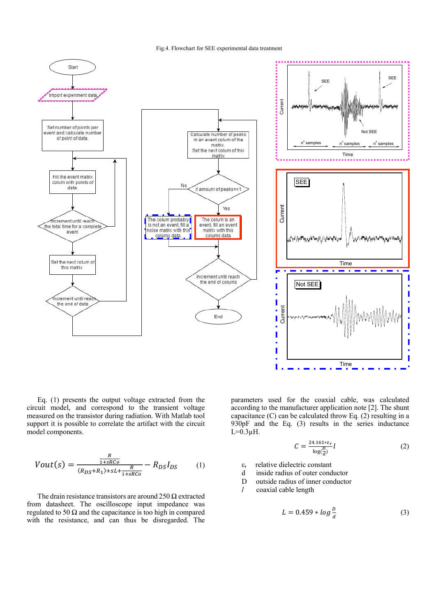Fig.4. Flowchart for SEE experimental data treatment



Eq. (1) presents the output voltage extracted from the circuit model, and correspond to the transient voltage measured on the transistor during radiation. With Matlab tool support it is possible to correlate the artifact with the circuit model components.

$$
Vout(s) = \frac{\frac{R}{1+sRC}}{(R_{DS}+R_1)+sL+\frac{R}{1+sRCo}} - R_{DS}I_{DS}
$$
 (1)

The drain resistance transistors are around 250  $\Omega$  extracted from datasheet. The oscilloscope input impedance was regulated to 50  $\Omega$  and the capacitance is too high in compared with the resistance, and can thus be disregarded. The

parameters used for the coaxial cable, was calculated according to the manufacturer application note [2]. The shunt capacitance (C) can be calculated throw Eq. (2) resulting in a 930pF and the Eq. (3) results in the series inductance  $L=0.3$ uH.

$$
C = \frac{24.161 * \varepsilon_r}{\log(\frac{D}{d})} l \tag{2}
$$

 $\varepsilon$ <sub>r</sub> relative dielectric constant

- d inside radius of outer conductor
- D outside radius of inner conductor
- $l$  coaxial cable length

$$
L = 0.459 * \log \frac{D}{d} \tag{3}
$$